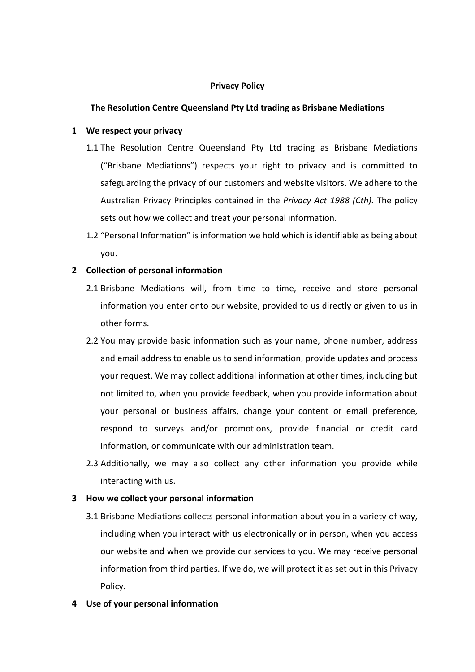# **Privacy Policy**

# **The Resolution Centre Queensland Pty Ltd trading as Brisbane Mediations**

## **1** We respect your privacy

- 1.1 The Resolution Centre Queensland Pty Ltd trading as Brisbane Mediations ("Brisbane Mediations") respects your right to privacy and is committed to safeguarding the privacy of our customers and website visitors. We adhere to the Australian Privacy Principles contained in the *Privacy Act 1988 (Cth)*. The policy sets out how we collect and treat your personal information.
- 1.2 "Personal Information" is information we hold which is identifiable as being about you.

# **2 Collection of personal information**

- 2.1 Brisbane Mediations will, from time to time, receive and store personal information you enter onto our website, provided to us directly or given to us in other forms.
- 2.2 You may provide basic information such as your name, phone number, address and email address to enable us to send information, provide updates and process your request. We may collect additional information at other times, including but not limited to, when you provide feedback, when you provide information about your personal or business affairs, change your content or email preference, respond to surveys and/or promotions, provide financial or credit card information, or communicate with our administration team.
- 2.3 Additionally, we may also collect any other information you provide while interacting with us.

## **3 How** we collect your personal information

- 3.1 Brisbane Mediations collects personal information about you in a variety of way, including when you interact with us electronically or in person, when you access our website and when we provide our services to you. We may receive personal information from third parties. If we do, we will protect it as set out in this Privacy Policy.
- **4 Use of your personal information**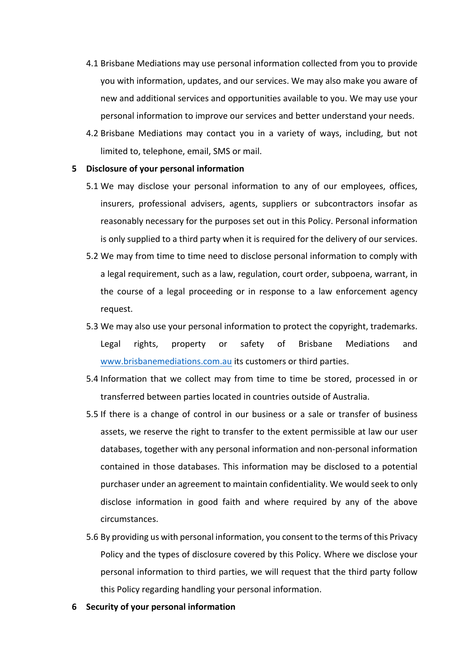- 4.1 Brisbane Mediations may use personal information collected from you to provide you with information, updates, and our services. We may also make you aware of new and additional services and opportunities available to you. We may use your personal information to improve our services and better understand your needs.
- 4.2 Brisbane Mediations may contact you in a variety of ways, including, but not limited to, telephone, email, SMS or mail.

#### **5 Disclosure of your personal information**

- 5.1 We may disclose your personal information to any of our employees, offices, insurers, professional advisers, agents, suppliers or subcontractors insofar as reasonably necessary for the purposes set out in this Policy. Personal information is only supplied to a third party when it is required for the delivery of our services.
- 5.2 We may from time to time need to disclose personal information to comply with a legal requirement, such as a law, regulation, court order, subpoena, warrant, in the course of a legal proceeding or in response to a law enforcement agency request.
- 5.3 We may also use your personal information to protect the copyright, trademarks. Legal rights, property or safety of Brisbane Mediations and www.brisbanemediations.com.au its customers or third parties.
- 5.4 Information that we collect may from time to time be stored, processed in or transferred between parties located in countries outside of Australia.
- 5.5 If there is a change of control in our business or a sale or transfer of business assets, we reserve the right to transfer to the extent permissible at law our user databases, together with any personal information and non-personal information contained in those databases. This information may be disclosed to a potential purchaser under an agreement to maintain confidentiality. We would seek to only disclose information in good faith and where required by any of the above circumstances.
- 5.6 By providing us with personal information, you consent to the terms of this Privacy Policy and the types of disclosure covered by this Policy. Where we disclose your personal information to third parties, we will request that the third party follow this Policy regarding handling your personal information.
- **6 Security of your personal information**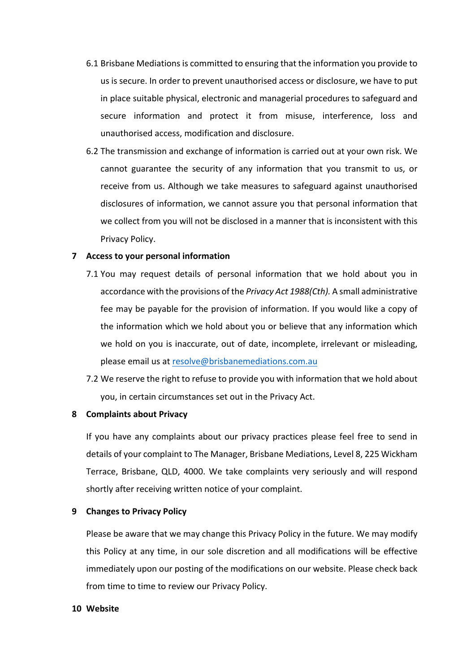- 6.1 Brisbane Mediations is committed to ensuring that the information you provide to us is secure. In order to prevent unauthorised access or disclosure, we have to put in place suitable physical, electronic and managerial procedures to safeguard and secure information and protect it from misuse, interference, loss and unauthorised access, modification and disclosure.
- 6.2 The transmission and exchange of information is carried out at your own risk. We cannot guarantee the security of any information that you transmit to us, or receive from us. Although we take measures to safeguard against unauthorised disclosures of information, we cannot assure you that personal information that we collect from you will not be disclosed in a manner that is inconsistent with this Privacy Policy.

### **7** Access to your personal information

- 7.1 You may request details of personal information that we hold about you in accordance with the provisions of the *Privacy Act 1988(Cth)*. A small administrative fee may be payable for the provision of information. If you would like a copy of the information which we hold about you or believe that any information which we hold on you is inaccurate, out of date, incomplete, irrelevant or misleading, please email us at resolve@brisbanemediations.com.au
- 7.2 We reserve the right to refuse to provide you with information that we hold about you, in certain circumstances set out in the Privacy Act.

### **8 Complaints about Privacy**

If you have any complaints about our privacy practices please feel free to send in details of your complaint to The Manager, Brisbane Mediations, Level 8, 225 Wickham Terrace, Brisbane, QLD, 4000. We take complaints very seriously and will respond shortly after receiving written notice of your complaint.

### **9 Changes to Privacy Policy**

Please be aware that we may change this Privacy Policy in the future. We may modify this Policy at any time, in our sole discretion and all modifications will be effective immediately upon our posting of the modifications on our website. Please check back from time to time to review our Privacy Policy.

### **10 Website**